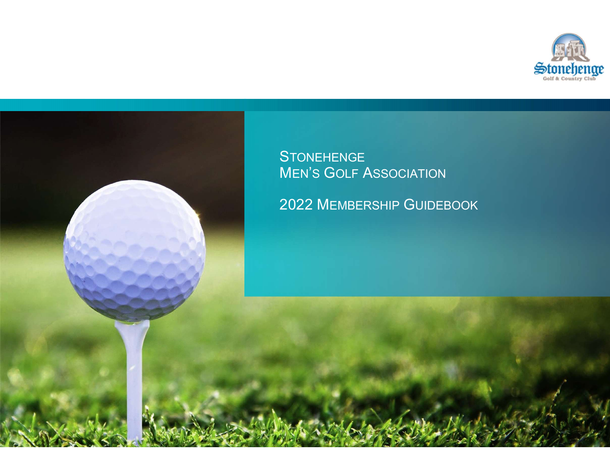



MEN'S GOLF ASSOCIATION

2022 MEMBERSHIP GUIDEBOOK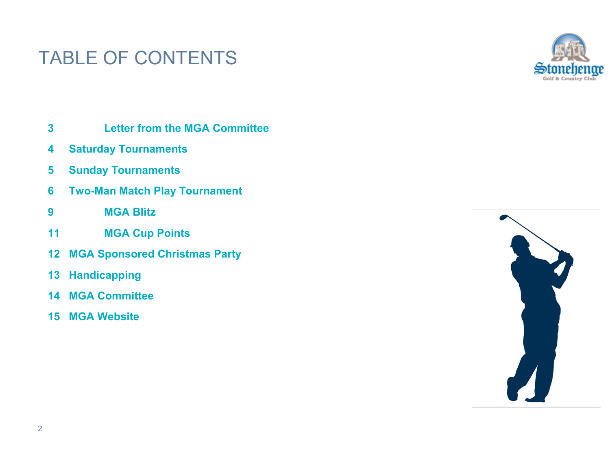# TABLE OF CONTENTS ABLE OF CONTENTS<br>3 Letter from the MGA Committee<br>4 Saturday Tournaments<br>5 Sunday Tournaments ABLE OF CONTENTS<br>3 Letter from the MGA Committee<br>4 Saturday Tournaments<br>5 Sunday Tournaments<br>6 Two-Man Match Play Tournament ABLE OF CONTENTS<br>3 Letter from the MGA Committee<br>4 Saturday Tournaments<br>5 Sunday Tournaments<br>6 Two-Man Match Play Tournament<br>9 MGA Blitz ABLE OF CONTENTS<br>
3 Letter from the MGA Committee<br>
4 Saturday Tournaments<br>
5 Sunday Tournaments<br>
6 Two-Man Match Play Tournament<br>
9 MGA Blitz<br>
11 MGA Cup Points ABLE OF CONTENTS<br>
3 Letter from the MGA Committee<br>
4 Saturday Tournaments<br>
5 Sunday Tournaments<br>
6 Two-Man Match Play Tournament<br>
9 MGA Blitz<br>
11 MGA Cup Points<br>
12 MGA Sponsored Christmas Party ABLE OF CONTENTS<br>
3<br>
Letter from the MGA Committee<br>
4 Saturday Tournaments<br>
5 Sunday Tournaments<br>
6 Two-Man Match Play Tournament<br>
9 MGA Blitz<br>
11 MGA Cup Points<br>
12 MGA Sponsored Christmas Party<br>
13 Handicapping



- 3<br>
Letter from the MGA Committee<br>
4 Saturday Tournaments<br>
5 Sunday Tournaments<br>
6 Two-Man Match Play Tournament<br>
9 MGA Blitz<br>
11 MGA Cup Points<br>
12 MGA Sponsored Christmas Party<br>
13 Handicapping<br>
14 MGA Committee<br>
15 MGA W 3<br>
Letter from the MGA Committee<br>
4<br>
Saturday Tournaments<br>
5<br>
Sunday Tournaments<br>
6<br>
Two-Man Match Play Tournament<br>
9<br>
MGA Blitz<br>
11<br>
MGA Gup Points<br>
12<br>
MGA Sponsored Christmas Party<br>
13<br>
Handicapping<br>
14<br>
MGA Committee<br>
- 
- 
- 
- 
- 
- 12 MGA Sponsored Christmas Party
- 13 Handicapping
- 
- 

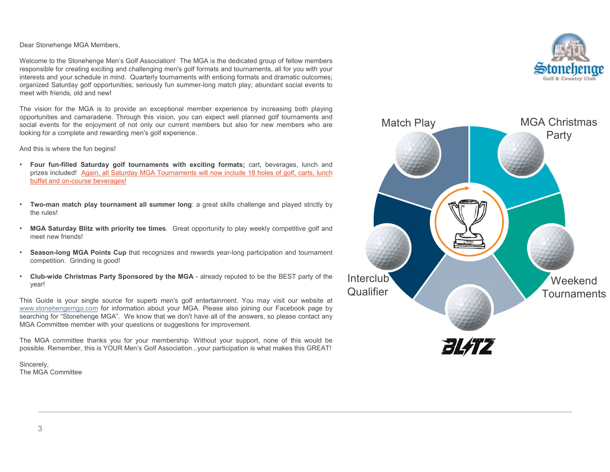Dear Stonehenge MGA Members,<br>Welcome to the Stonehenge Men's Golf Association! The MGA is the dedicated group of fellow members<br>responsible for creating exciting and challenging men's golf formats and tournaments, all for Dear Stonehenge MGA Members,<br>Welcome to the Stonehenge Men's Golf Association! The MGA is the dedicated group of fellow members<br>responsible for creating exciting and challenging men's golf formats and tournaments, all for Dear Stonehenge MGA Members,<br>Welcome to the Stonehenge Men's Golf Association! The MGA is the dedicated group of fellow members<br>interests and your schedule in mind. Quarterly tournaments with enticing formats and tournamen Dear Stonehenge MGA Members,<br>
Welcome to the Stonehenge Meris Golf Association! The MGA is the dedicated group of fellow members<br>
responsible for creating exciting and challenging men's golf formats and dramatic outcomes;<br> Dear Stonehenge MGA Members,<br>
Welcome to the Stonehenge Men's Golf Association! The MGA is the dedicated group of fellow members<br>
interests and our schedule in mind. Quantity funcuments with entirely abundant social for yo Dear Stonehenge MGA Members,<br>Welcome to the Stonehenge Men's Golf Association! The MGA is the dedicated group of fellow members<br>responsible for creating exciting and challenging men's golf formats and tournaments, all for Dear Stonehenge MGA Members,<br>
Welcome to the Stonehenge Men's Golf Association! The MGA is the dedicated group of fellow members<br>
responsible for creating exciting and challenging ments golf formats and tournaments, all fo

- 
- 
- 
- 
- year!

prizes included 1 Again, all Saturday MGA Tournaments will now include 18 holes of golf, contributed and on-course beverages!<br>
Two-man match play tournament all summer long: a great skills challenge and played<br>
the rules!<br>

Sincerely,



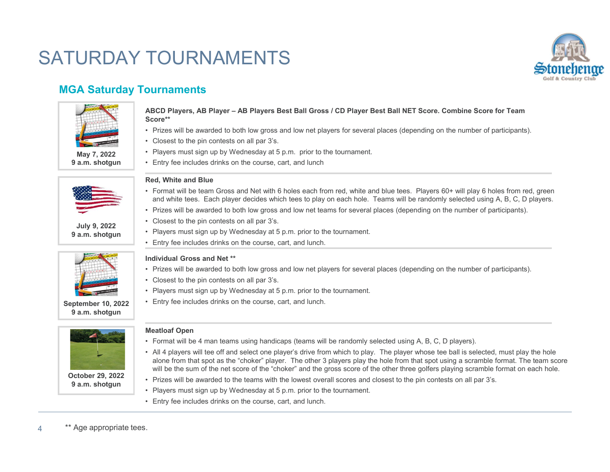# SATURDAY TOURNAMENTS



#### MGA Saturday Tournaments





9 a.m. shotgun



# **OUT TRAINT EXECTS:**<br> **ABCD Players, AB Player – AB Players Best Ball Gross / CD Player Best Ball N<br>
Score\*\*<br>
• Prizes will be awarded to both low gross and low net players for several places (d<br>
• Closest to the pin conte OUT TRATENTS**<br> **ABCD Players, AB Player – AB Players Best Ball Gross / CD Player Best Ball NET Score<sup>4</sup><br>
<b>Score<sup>42</sup>**<br>
• Players will be awarded to both low gross and low net players for several places (depending<br>
• Closes **ABCD Players, AB Player – AB Players Best Ball Gross / CD Player Best Ball N<br>
• Prizes will be awarded to both low gross and low net players for several places (d<br>
• Closest to the pin contests on all par 3's.<br>
• Players** FOURNAMENTS<br>
Storied Players, AB Player – AB Players Best Ball Gross / CD Player Best Ball NET Score. Combine Score for Team<br>
Score\*\*<br>
• Players will be awarded to both low gross and low net players for several places (dep Score\*\* FOURNAMENTS<br>
Storiet Privates, AB Player – AB Players Best Ball Gross / CD Player Best Ball NET Score. Combine Score for Team<br>
Prizes will be awarded to both low gross and low net players for several places (depending on t TOURNAMENTS<br>
pournaments<br>
ABCD Players, AB Player – AB Players Best Ball Gross / CD Player Best Ball N<br>
Score\*\*<br>
• Prizes will be awarded to both low gross and low net players for several places (d<br>
• Closest to the pin co FOURNAMENTS<br>
ABCD Players, AB Player – AB Players Best Ball Gross / CD Player Best Ball NET Score.<br>
Score\*\*<br>
• Prizes will be awarded to both low gross and low net players for several places (depending o<br>
• Closest to the FOURNAMENTS<br>
Surnaments<br>
ABCD Players, AB Player – AB Players Best Ball Gross / CD Player Best Ball NET Score. Comb<br>
Score\*\*<br>
• Prizes will be awarded to both low gross and low net players for several places (depending on TOURNAMENTS<br>
SUCRIMENTS<br>
ABCD Players, AB Player – AB Players Best Ball Gross / CD Player Best Ball N<br>
• Crizes will be awarded to both low gross and low net players for several places (d<br>
• Closest to the pin contests on FOURNAMENTS<br>
pournaments<br>
ABCD Players, AB Player – AB Players Best Ball Gross / CD Player Best Ball NET Score<br>
• Prizes will be awarded to both low gross and low net players for several places (depending<br>
• Closest to the FOURNAMENTS<br>
Soornaments<br>
ABCD Players, AB Player – AB Players Best Ball Gross / CD Player Best Ball N<br>
Score\*\*<br>
• Prizes will be awarded to both low gross and low net players for several places (d<br>
• Closest to the pin co

- 
- 
- May 7, 2022 Players must sign up by Wednesday at 5 p.m. prior to the tournament.
- **9 a.m. shotgun** Entry fee includes drinks on the course, cart, and lunch

#### Red, White and Blue

- **ABOUT THE SET AND THE SET AND THE SET AND THE SET AND THE SET AND THE SET AND THE SET AND THE SET AND THE SET AND THE SET AND THE SET AND THE PRIZE THAN THE PRIZE CONSIDENT CHAPTER THAN THE PRIZE THAN THE PRIZE CONSIDENT** FOURNAMENTS<br>
• Stories and Players AB Player – AB Players Best Ball Gross / CD Player Best Ball NET Score. Combine Score for Team<br>
• Prizes will be awarded to both low gross and low net players for several places (dependin and white tees. Each player decides which tees to play on each hole. Teams will be randomly selected using A, B, C, D players. FOURNAMENTS<br>
Storpelers, AB Player – AB Players Best Ball Gross / CD Player Best Ball NET Score. Combine Score for Team<br>
Score:<br>
"Prizes will be awarded to both low gross and low net players for several places (depending o
- 
- July 9, 2022 Closest to the pin contests on all par 3's.
- 9 a.m. shotgun | Players must sign up by Wednesday at 5 p.m. prior to the tournament.
	-

#### Individual Gross and Net \*\*

- 
- 
- 
- September 10, 2022 Entry fee includes drinks on the course, cart, and lunch.

#### Meatloaf Open

- 
- Closest to the pin contests on all par 3's.<br>• Closest to the pin contests on the course, cart, and lunch<br>• Format will be team Gross and Net with 6 holes each from red, white and blue tees. Players 60+ will play 6 holes • Players must sign up by Wednesday at 5 p.m., prior to the tournament.<br> **Red, White and Blue**<br> **Red, White and Blue**<br> **Red, White and Blue**<br> **Red, White and Blue**<br> **Red, White and Blue**<br>
and white tees. Each player decide Entry fee includes drinks on the course, cart, and lunch<br>ad, White and Blate<br>of Comment will be tasm Gross and Net with 6 holes each from red, white and blue teas. Players 60+ will play 6 holes from red, green<br>From twith t will be the sum of the net score of the "choker" and the gross score of the other three golfers playing scramble format on each hole. **Fed. White and Blue Grapher and Blue With 6** holes each from red, white and blue tees. Players 60+ will play 6 holes form red, green and white lees. Each player decides which tees to play on each hole. Teams will be rando • Format will be team Gross and Net with 6 holes each from red, white and blue tees. Players must be awarded to both low gross and low net teams for several places (depending or Closest to the pin contests on all par 3's.<br> entral will be test... Eatrin puy the declares which rees to play of each noie. Teams will<br>
• Prizes will be awarded to both low gross and low net teams for several places (de<br>
• Closest to the pin contests on all par 3's
- October 29, 2022 Prizes will be awarded to the teams with the lowest overall scores and closest to the pin contests on all par 3's.
- 9 a.m. shotgun Players must sign up by Wednesday at 5 p.m. prior to the tournament.
	-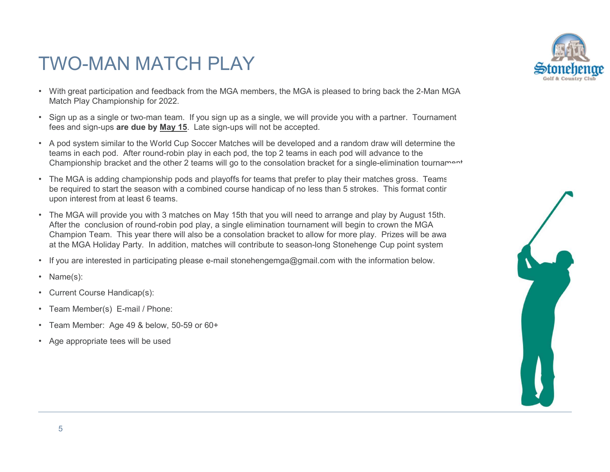## TWO-MAN MATCH PLAY

- With great participation and feedback from the MGA members, the MGA is pleased to bring back the 2-Man MGA Match Play Championship for 2022.
- Sign up as a single or two-man team. If you sign up as a single, we will provide you with a partner. Tournament fees and sign-ups are due by May 15. Late sign-ups will not be accepted.
- A pod system similar to the World Cup Soccer Matches will be developed and a random draw will determine the teams in each pod. After round-robin play in each pod, the top 2 teams in each pod will advance to the Championship bracket and the other 2 teams will go to the consolation bracket for a single-elimination tournament<br>The MGA is adding championship pods and playoffs for teams that prefer to play their matches gross. Teams
- be required to start the season with a combined course handicap of no less than 5 strokes. This format conting upon interest from at least 6 teams.
- The MGA will provide you with 3 matches on May 15th that you will need to arrange and play by August 15th. After the conclusion of round-robin pod play, a single elimination tournament will begin to crown the MGA Champion Team. This year there will also be a consolation bracket to allow for more play. Prizes will be awardedded. at the MGA Holiday Party. In addition, matches will contribute to season-long Stonehenge Cup point system • If you are interested in participating please e-mail stonehengemga@gmail.com with the information below. • Name(s):
- 
- 
- Current Course Handicap(s):
- Team Member(s) E-mail / Phone:
- Team Member: Age 49 & below, 50-59 or 60+
- Age appropriate tees will be used



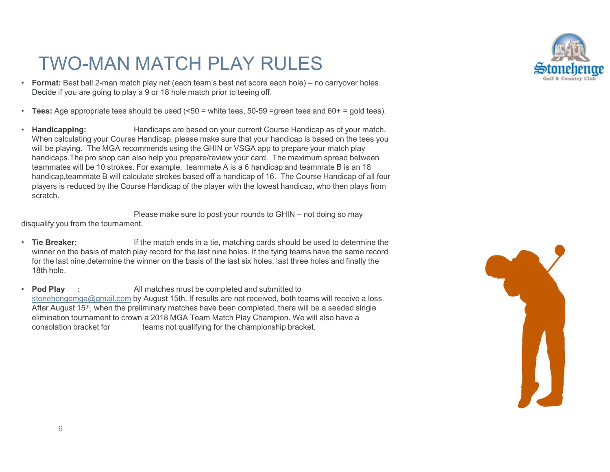# TWO-MAN MATCH PLAY RULES

- FWO-MAN MATCH PLAY RULES<br>
 Format: Best ball 2-man match play net (each team's best net score each hole) no carryover holes.<br>
 Decide if you are going to play a 9 or 18 hole match prior to teeing off.<br>
 Tees: Age app
- Decide if you are going to play a 9 or 18 hole match prior to teeing off.<br>
 Tees: Age appropriate tees should be used (<50 = white tees, 50-59 = green tees and 60+ = gold tees).<br>
 Handicapping: Handicaps are based on you
- When calculating your Course Handicap, please make sure that your handicap is based on the tees you will be playing. The MGA recommends using the GHIN or VSGA app to prepare your match play handicaps.The pro shop can also help you prepare/review your card. The maximum spread between teammates will be 10 strokes. For example, teammate A is a 6 handicap and teammate B is an 18 handicap,teammate B will calculate strokes based off a handicap of 16. The Course Handicap of all four players is reduced by the Course Handicap of the player with the lowest handicap, who then plays from scratch. MATCH PLAY RULES<br>  $\mu$  a go or 18 hole means best net score each hole) – no carryover holes.<br>
A a go or 18 hole match prior to teeing off.<br>
Handicaps are based on your current Course Handicap as of your match.<br>
Handicap, Decide if you are going to play a 9 or 18 hole match prior to teeing off.<br>
• Tees: Age appropriate tees should be used (<50 = white tees, 50-59 =green tees and 60+ = gold to the teel matches must be playing. Handicap sere

disqualify you from the tournament.

- Tie Breaker: If the match ends in a tie, matching cards should be used to determine the winner on the basis of match play record for the last nine holes. If the tying teams have the same record for the last nine,determine the winner on the basis of the last six holes, last three holes and finally the 18th hole.
- stonehengemga@gmail.com by August 15th. If results are not received, both teams will receive a loss. After August 15<sup>th</sup>, when the preliminary matches have been completed, there will be a seeded single elimination tournament to crown a 2018 MGA Team Match Play Champion. We will also have a consolation bracket for teams not qualifying for the championship bracket.



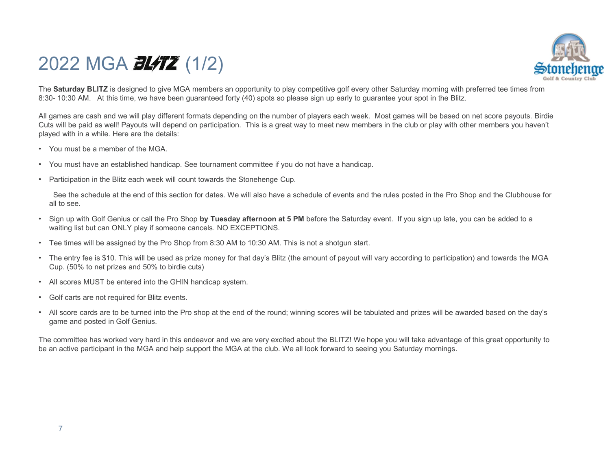# 2022 MGA **3L/TZ** (1/2)



The Saturday BLITZ is designed to give MGA members an opportunity to play competitive golf every other Saturday morning with preferred tee times from Saturday BLITZ is designed to give MGA members an opportunity to play co 2022 MGA 21/22 (1/2)<br>The Saturday BLITZ is designed to give MGA members an opportunity to play competitive golf every other Saturday morning with preferred tee times fr<br>8:30- 10:30 AM. At this time, we have been guaranteed  $2022$  MGA  $\overline{\text{BU}}$  (1/2)<br>The Saturday BLITZ is designed to give MGA members an opportunity to play competitive golf every other Saturday morning with preferred tee times from<br>The Saturday BLITZ is designed to give MGA CO22 MGA **BLATZ** (1/2)<br>The **Saturday BLITZ** is designed to give MGA members an opportunity to play competitive golf every other Saturday morning with preferred tee times form<br>Si:30-10:30 AM. At this time, we have been gua played with in a while. Here are the details: Saturday BLITZ is designed to give MGA members an opportunity to play competitive golf every other Saturday morning with preferred tee times from<br>-10:30 AM. At this time, we have been guaranteed forty (40) spots so please

- You must be a member of the MGA.
- You must have an established handicap. See tournament committee if you do not have a handicap.
- Participation in the Blitz each week will count towards the Stonehenge Cup.

all to see.

- Sign up with Golf Genius or call the Pro Shop by Tuesday afternoon at 5 PM before the Saturday event. If you sign up late, you can be added to a waiting list but can ONLY play if someone cancels. NO EXCEPTIONS.<br>• Tee times will be assigned by the Pro Shop from 8:30 AM to 10:30 AM. This is not a shotgun start.<br>• The entry fee is \$10. This will be used as prize money
- 
- Cup. (50% to net prizes and 50% to birdie cuts)
- All scores MUST be entered into the GHIN handicap system.<br>• Golf carts are not required for Blitz events.
- 
- All score cards are to be turned into the Pro shop at the end of the round; winning scores will be tabulated and prizes will be awarded based on the day's game and posted in Golf Genius.

The committee has worked very hard in this endeavor and we are very excited about the BLITZ! We hope you will take advantage of this great opportunity to be an active participant in the MGA and help support the MGA at the club. We all look forward to seeing you Saturday mornings.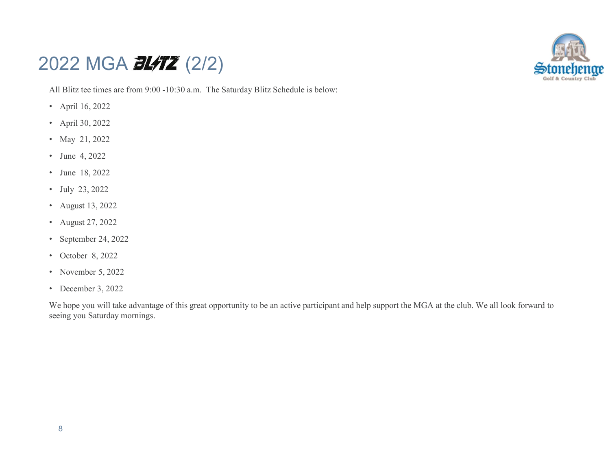### 2022 MGA **3L/TZ** (2/2)



All Blitz tee times are from 9:00 -10:30 a.m. The Saturday Blitz Schedule is below:

- April 16, 2022
- April 30, 2022
- May 21, 2022
- June 4, 2022
- June 18, 2022
- July 23, 2022
- August 13, 2022
- August 27, 2022
- September 24, 2022
- October 8, 2022
- November 5, 2022
- December 3, 2022

We hope you will take advantage of this great opportunity to be an active participant and help support the MGA at the club. We all look forward to seeing you Saturday mornings.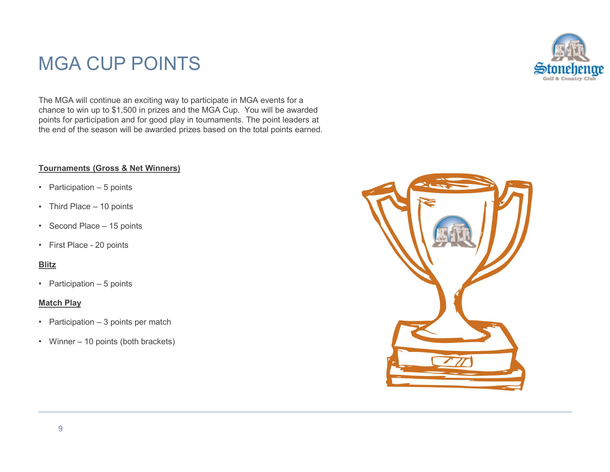# MGA CUP POINTS



The MGA will continue an exciting way to participate in MGA events for a chance to win up to \$1,500 in prizes and the MGA Cup. You will be awarded points for participation and for good play in tournaments. The point leaders at the end of the season will be awarded prizes based on the total points earned. MGA CUP POINTS<br>The MGA will continue an exciting way to participate in MGA events for a<br>chance to win up to \$1,500 in prizes and the MGA Cup. You will be awarded<br>points for participation and for good play in tournaments. T MGA CUP POINTS<br>The MGA will continue an exciting way to participate in MGA events for a<br>chance to win up to \$1,500 in prizes and the MGA Cup. You will be awarded<br>points for participation and for good play in fourmaments. T MGA CUP POINTS<br>The MGA will continue an exciting way to participate in MGA events for a<br>chance to win up to \$1,500 in prizes and the MGA Cup. You will be awarded<br>points for participation and for good play in tournaments. T MGA CUP POINTS<br>
The MGA will continue an exciting way to participate in MGA events for a<br>
chance to win up to \$1,500 in prizes and the MGA Cup. You will be awarded<br>
points for participation and for good play in tournaments The MGA will continue an exciting way to participate in MGA events for a<br>
chance to win up to \$1,500 in prizes and the MGA Cup. You will be awarded<br>
points for participation and for good play in tournaments. The point lead From the end of the season will be awarded prizes based on the total points earned.<br>
Tournaments (Gross & Net Winners)<br>
• Participation – 5 points<br>
• Third Place – 10 points<br>
• Second Place – 15 points<br>
• First Place - 20

# Tournaments (Gross & Net Winners) Fournaments (Gross & Net Winners)<br>• Participation – 5 points<br>• Third Place – 10 points<br>• Second Place – 15 points<br>• First Place - 20 points<br>Blitz<br>• Participation – 5 points<br>Match Play<br>• Participation – 3 points per match<br>•

- 
- 
- 
- 

#### Blitz

#### Match Play

- 
- 

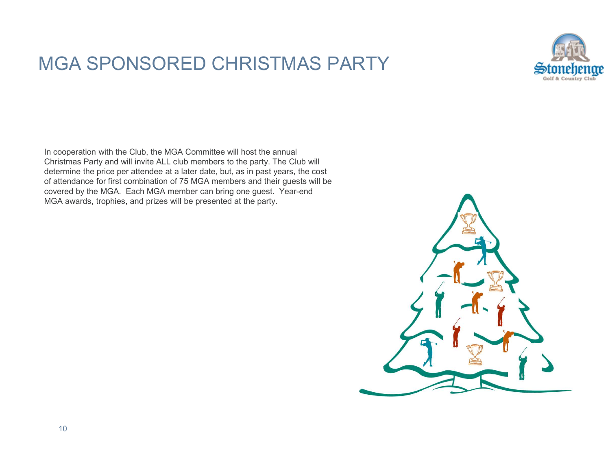## MGA SPONSORED CHRISTMAS PARTY



In cooperation with the Club, the MGA Committee will host the annual Christmas Party and will invite ALL club members to the party. The Club will determine the price per attendee at a later date, but, as in past years, the cost of attendance for first combination of 75 MGA members and their guests will be covered by the MGA. Each MGA member can bring one guest. Year-end MGA awards, trophies, and prizes will be presented at the party.

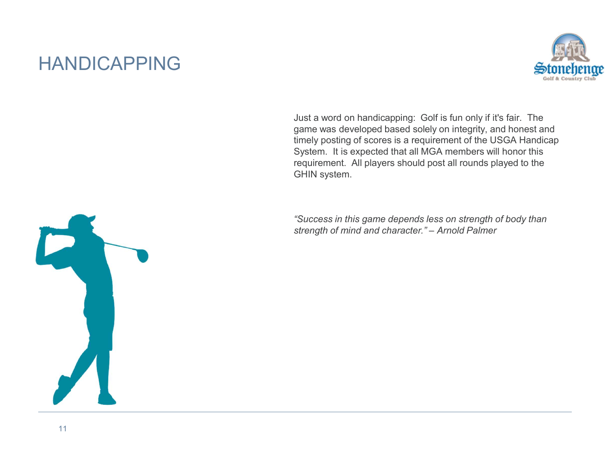# HANDICAPPING



Just a word on handicapping: Golf is fun only if it's fair. The game was developed based solely on integrity, and honest and timely posting of scores is a requirement of the USGA Handicap System. It is expected that all MGA members will honor this requirement. All players should post all rounds played to the GHIN system. Storted Pendia<br>
Storted Care and the Sale of Mind and Care and the Sale and the solution<br>
of the solution of solution of mind and solve the USGA Handicap<br>
System. It is expected that all MGA members will honor this<br>
requir

"Success in this game depends less on strength of body than

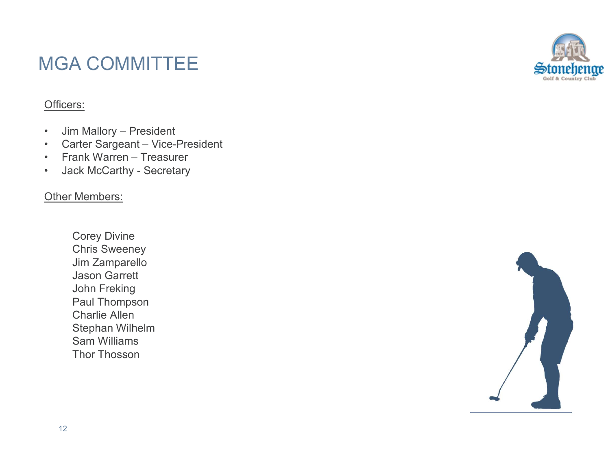# MGA COMMITTEE MGA COMMITTEE<br>
- Jim Mallory – President<br>
- Carter Sargeant – Vice-President<br>
- Frank Warren – Treasurer<br>
- Jack McCarthy - Secretary MGA COMMITTEE<br>
- Jim Mallory – President<br>
- Carter Sargeant – Vice-President<br>
- Frank Warren – Treasurer<br>
- Jack McCarthy - Secretary<br>
- City - Marybory MGA COMMITTEE<br>
Officers:<br>
• Jim Mallory – President<br>
• Carter Sargeant – Vice-President<br>
• Frank Warren – Treasurer<br>
• Jack McCarthy - Secretary<br>
Other Members: MGA COMMITTEE<br>
Officers<u>:</u><br>• Jim Mallory – President<br>• Carter Sargeant – Vice-President<br>• Frank Warren – Treasurer<br>• Jack McCarthy - Secretary<br>
Other Members:

#### Officers:

- 
- 
- 
- 

#### **Other Members:**

Corey Divine Chris Sweeney Jim Zamparello Jason Garrett John Freking Paul Thompson Charlie Allen Stephan Wilhelm Sam Williams Thor Thosson